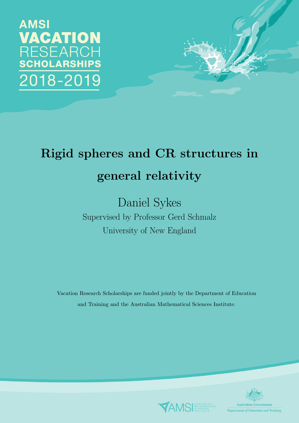**AMSI** VACATION RESEARCH **CHOLARSHIPS** 018-2019



# Rigid spheres and CR structures in general relativity

## Daniel Sykes Supervised by Professor Gerd Schmalz University of New England

Vacation Research Scholarships are funded jointly by the Department of Education and Training and the Australian Mathematical Sciences Institute.



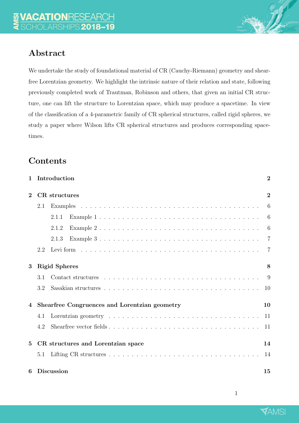### Abstract

We undertake the study of foundational material of CR (Cauchy-Riemann) geometry and shearfree Lorentzian geometry. We highlight the intrinsic nature of their relation and state, following previously completed work of Trautman, Robinson and others, that given an initial CR structure, one can lift the structure to Lorentzian space, which may produce a spacetime. In view of the classification of a 4-parametric family of CR spherical structures, called rigid spheres, we study a paper where Wilson lifts CR spherical structures and produces corresponding spacetimes.

### **Contents**

| $\mathbf 1$    | Introduction                                  | $\overline{2}$ |
|----------------|-----------------------------------------------|----------------|
| $\overline{2}$ | <b>CR</b> structures                          | $\overline{2}$ |
|                | 2.1                                           | 6              |
|                | 2.1.1                                         | 6              |
|                | 2.1.2                                         | 6              |
|                | 2.1.3                                         | $\overline{7}$ |
|                | 2.2                                           | 7              |
| 3              | <b>Rigid Spheres</b>                          | 8              |
|                | 3.1                                           | -9             |
|                | 3.2                                           | 10             |
| 4              | Shearfree Congruences and Lorentzian geometry | 10             |
|                | 4.1                                           | 11             |
|                | 4.2                                           | 11             |
| $\overline{5}$ | CR structures and Lorentzian space            | 14             |
|                | 5.1                                           | 14             |
| 6              | <b>Discussion</b>                             | 15             |

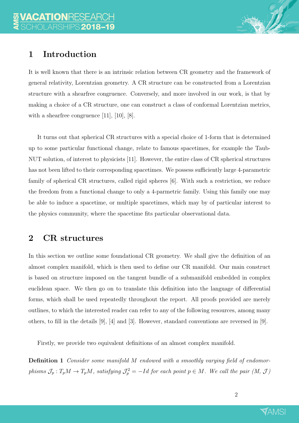### 1 Introduction

It is well known that there is an intrinsic relation between CR geometry and the framework of general relativity, Lorentzian geometry. A CR structure can be constructed from a Lorentzian structure with a shearfree congruence. Conversely, and more involved in our work, is that by making a choice of a CR structure, one can construct a class of conformal Lorentzian metrics, with a shearfree congruence [11], [10], [8].

It turns out that spherical CR structures with a special choice of 1-form that is determined up to some particular functional change, relate to famous spacetimes, for example the Taub-NUT solution, of interest to physicists [11]. However, the entire class of CR spherical structures has not been lifted to their corresponding spacetimes. We possess sufficiently large 4-parametric family of spherical CR structures, called rigid spheres [6]. With such a restriction, we reduce the freedom from a functional change to only a 4-parmetric family. Using this family one may be able to induce a spacetime, or multiple spacetimes, which may by of particular interest to the physics community, where the spacetime fits particular observational data.

### 2 CR structures

In this section we outline some foundational CR geometry. We shall give the definition of an almost complex manifold, which is then used to define our CR manifold. Our main construct is based on structure imposed on the tangent bundle of a submanifold embedded in complex euclidean space. We then go on to translate this definition into the language of differential forms, which shall be used repeatedly throughout the report. All proofs provided are merely outlines, to which the interested reader can refer to any of the following resources, among many others, to fill in the details [9], [4] and [3]. However, standard conventions are reversed in [9].

Firstly, we provide two equivalent definitions of an almost complex manifold.

Definition 1 Consider some manifold M endowed with a smoothly varying field of endomorphisms  $\mathcal{J}_p: T_pM \to T_pM$ , satisfying  $\mathcal{J}_p^2 = -Id$  for each point  $p \in M$ . We call the pair  $(M, \mathcal{J})$ 

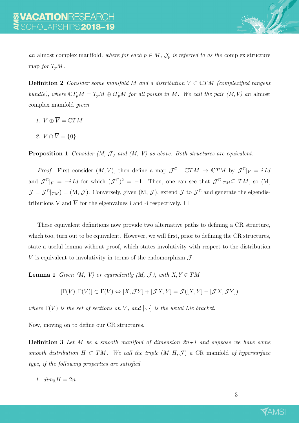

an almost complex manifold, where for each  $p \in M$ ,  $\mathcal{J}_p$  is referred to as the complex structure map for  $T_pM$ .

**Definition 2** Consider some manifold M and a distribution  $V \subset \mathbb{C}TM$  (complexified tangent bundle), where  $\mathbb{C}T_pM = T_pM \oplus iT_pM$  for all points in M. We call the pair  $(M, V)$  an almost complex manifold given

- 1.  $V \oplus \overline{V} = \mathbb{C}TM$
- 2.  $V \cap \overline{V} = \{0\}$

**Proposition 1** Consider  $(M, \mathcal{J})$  and  $(M, V)$  as above. Both structures are equivalent.

*Proof.* First consider  $(M, V)$ , then define a map  $\mathcal{J}^{\mathbb{C}} : \mathbb{C}TM \to \mathbb{C}TM$  by  $\mathcal{J}^{\mathbb{C}}|_V = i \, Id$ and  $\mathcal{J}^{\mathbb{C}}|_{\bar{V}} = -i Id$  for which  $(\mathcal{J}^{\mathbb{C}})^2 = -1$ . Then, one can see that  $\mathcal{J}^{\mathbb{C}}|_{TM} \subseteq TM$ , so (M,  $\mathcal{J} = \mathcal{J}^{\mathbb{C}}|_{TM}$  = (M,  $\mathcal{J}$ ). Conversely, given (M,  $\mathcal{J}$ ), extend  $\mathcal{J}$  to  $\mathcal{J}^{\mathbb{C}}$  and generate the eigendistributions V and  $\overline{V}$  for the eigenvalues i and -i respectively.  $\Box$ 

These equivalent definitions now provide two alternative paths to defining a CR structure, which too, turn out to be equivalent. However, we will first, prior to defining the CR structures, state a useful lemma without proof, which states involutivity with respect to the distribution V is equivalent to involutivity in terms of the endomorphism  $\mathcal{J}$ .

**Lemma 1** Given  $(M, V)$  or equivalently  $(M, \mathcal{J})$ , with  $X, Y \in TM$ 

$$
[\Gamma(V),\Gamma(V)]\subset \Gamma(V)\Leftrightarrow [X,\mathcal JY]+[\mathcal JX,Y]=\mathcal J([X,Y]-[\mathcal JX,\mathcal JY])
$$

where  $\Gamma(V)$  is the set of sections on V, and  $[\cdot, \cdot]$  is the usual Lie bracket.

Now, moving on to define our CR structures.

**Definition 3** Let M be a smooth manifold of dimension  $2n+1$  and suppose we have some smooth distribution  $H \subset TM$ . We call the triple  $(M, H, \mathcal{J})$  a CR manifold of hypersurface type, if the following properties are satisfied

1.  $dim_{\mathbb{R}} H = 2n$ 

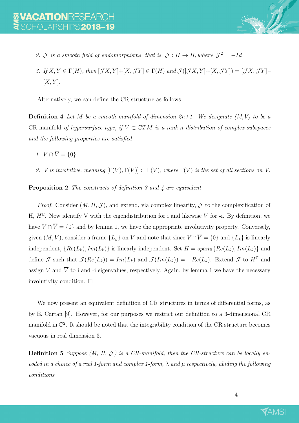- 
- 2. J is a smooth field of endomorphisms, that is,  $\mathcal{J}: H \to H$ , where  $\mathcal{J}^2 = -Id$
- 3. If  $X, Y \in \Gamma(H)$ , then  $[\mathcal{J}X, Y] + [X, \mathcal{J}Y] \in \Gamma(H)$  and  $\mathcal{J}([\mathcal{J}X, Y] + [X, \mathcal{J}Y]) = [\mathcal{J}X, \mathcal{J}Y] [X, Y]$ .

Alternatively, we can define the CR structure as follows.

**Definition 4** Let M be a smooth manifold of dimension  $2n+1$ . We designate  $(M, V)$  to be a CR manifold of hypersurface type, if  $V \subset \mathbb{C}TM$  is a rank n distribution of complex subspaces and the following properties are satisfied

- 1.  $V \cap \overline{V} = \{0\}$
- 2. V is involutive, meaning  $[\Gamma(V), \Gamma(V)] \subset \Gamma(V)$ , where  $\Gamma(V)$  is the set of all sections on V.

Proposition 2 The constructs of definition 3 and 4 are equivalent.

*Proof.* Consider  $(M, H, \mathcal{J})$ , and extend, via complex linearity,  $\mathcal J$  to the complexification of H,  $H^{\mathbb{C}}$ . Now identify V with the eigendistribution for i and likewise  $\overline{V}$  for -i. By definition, we have  $V \cap \overline{V} = \{0\}$  and by lemma 1, we have the appropriate involutivity property. Conversely, given  $(M, V)$ , consider a frame  $\{L_k\}$  on V and note that since  $V \cap \overline{V} = \{0\}$  and  $\{L_k\}$  is linearly independent,  ${Re(L_k), Im(L_k)}$  is linearly independent. Set  $H = span_{\mathbb{R}}{Re(L_k), Im(L_k)}$  and define  $\mathcal J$  such that  $\mathcal J(Re(L_k)) = Im(L_k)$  and  $\mathcal J(Im(L_k)) = -Re(L_k)$ . Extend  $\mathcal J$  to  $H^{\mathbb C}$  and assign V and  $\overline{V}$  to i and -i eigenvalues, respectively. Again, by lemma 1 we have the necessary involutivity condition.  $\Box$ 

We now present an equivalent definition of CR structures in terms of differential forms, as by E. Cartan [9]. However, for our purposes we restrict our definition to a 3-dimensional CR manifold in  $\mathbb{C}^2$ . It should be noted that the integrability condition of the CR structure becomes vacuous in real dimension 3.

**Definition 5** Suppose  $(M, H, \mathcal{J})$  is a CR-manifold, then the CR-structure can be locally encoded in a choice of a real 1-form and complex 1-form,  $\lambda$  and  $\mu$  respectively, abiding the following conditions

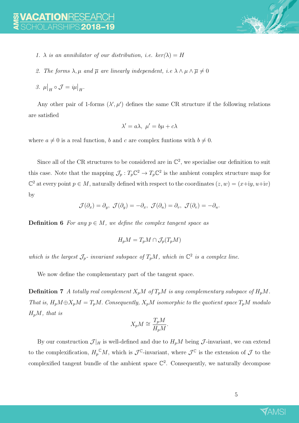

- 1.  $\lambda$  is an annihilator of our distribution, i.e.  $\ker(\lambda) = H$
- 2. The forms  $\lambda, \mu$  and  $\overline{\mu}$  are linearly independent, i.e  $\lambda \wedge \mu \wedge \overline{\mu} \neq 0$
- 3.  $\mu|_H \circ \mathcal{J} = i\mu|_H$ .

Any other pair of 1-forms  $(\lambda', \mu')$  defines the same CR structure if the following relations are satisfied

$$
\lambda' = a\lambda, \ \mu' = b\mu + c\lambda
$$

where  $a \neq 0$  is a real function, b and c are complex funtions with  $b \neq 0$ .

Since all of the CR structures to be considered are in  $\mathbb{C}^2$ , we specialise our definition to suit this case. Note that the mapping  $\mathcal{J}_p: T_p\mathbb{C}^2 \to T_p\mathbb{C}^2$  is the ambient complex structure map for  $\mathbb{C}^2$  at every point  $p \in M$ , naturally defined with respect to the coordinates  $(z, w) = (x+iy, u+iv)$ by

$$
\mathcal{J}(\partial_x) = \partial_y, \ \mathcal{J}(\partial_y) = -\partial_x, \ \mathcal{J}(\partial_u) = \partial_v, \ \mathcal{J}(\partial_v) = -\partial_u.
$$

**Definition 6** For any  $p \in M$ , we define the complex tangent space as

$$
H_p M = T_p M \cap \mathcal{J}_p(T_p M)
$$

which is the largest  $\mathcal{J}_p$ - invariant subspace of  $T_pM$ , which in  $\mathbb{C}^2$  is a complex line.

We now define the complementary part of the tangent space.

**Definition 7** A totally real complement  $X_pM$  of  $T_pM$  is any complementary subspace of  $H_pM$ . That is,  $H_pM\oplus X_pM=T_pM$ . Consequently,  $X_pM$  isomorphic to the quotient space  $T_pM$  modulo  $H_pM$ , that is

$$
X_p M \cong \frac{T_p M}{H_p M}.
$$

By our construction  $\mathcal{J}|_H$  is well-defined and due to  $H_pM$  being  $\mathcal{J}$ -invariant, we can extend to the complexification,  $H_p^{\mathbb{C}}M$ , which is  $\mathcal{J}^{\mathbb{C}}$ -invariant, where  $\mathcal{J}^{\mathbb{C}}$  is the extension of  $\mathcal J$  to the complexified tangent bundle of the ambient space  $\mathbb{C}^2$ . Consequently, we naturally decompose

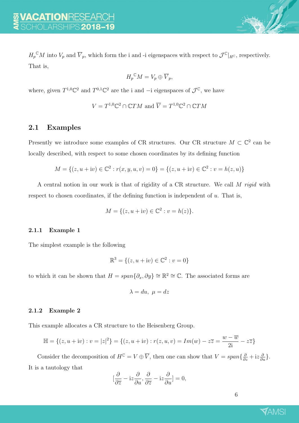$H_p^{\text{C}}M$  into  $V_p$  and  $\overline{V}_p$ , which form the i and -i eigenspaces with respect to  $\mathcal{J}^{\mathbb{C}}|_{H^{\mathbb{C}}}$ , respectively. That is,

$$
H_p^{\mathbb{C}}M = V_p \oplus \overline{V}_p,
$$

where, given  $T^{1,0}\mathbb{C}^2$  and  $T^{0,1}\mathbb{C}^2$  are the i and  $-$ i eigenspaces of  $\mathcal{J}^{\mathbb{C}}$ , we have

$$
V = T^{1,0} \mathbb{C}^2 \cap \mathbb{C}TM \text{ and } \overline{V} = T^{1,0} \mathbb{C}^2 \cap \mathbb{C}TM
$$

#### 2.1 Examples

Presently we introduce some examples of CR structures. Our CR structure  $M \subset \mathbb{C}^2$  can be locally described, with respect to some chosen coordinates by its defining function

$$
M = \{(z, u + iv) \in \mathbb{C}^2 : r(x, y, u, v) = 0\} = \{(z, u + iv) \in \mathbb{C}^2 : v = h(z, u)\}\
$$

A central notion in our work is that of rigidity of a CR structure. We call M rigid with respect to chosen coordinates, if the defining function is independent of  $u$ . That is,

$$
M = \{ (z, u + iv) \in \mathbb{C}^2 : v = h(z) \}.
$$

#### 2.1.1 Example 1

The simplest example is the following

$$
\mathbb{R}^3 = \{(z, u + iv) \in \mathbb{C}^2 : v = 0\}
$$

to which it can be shown that  $H = span{\partial_x, \partial_y} \cong \mathbb{R}^2 \cong \mathbb{C}$ . The associated forms are

$$
\lambda = du, \ \mu = dz
$$

#### 2.1.2 Example 2

This example allocates a CR structure to the Heisenberg Group.

$$
\mathbb{H} = \{(z, u + iv) : v = |z|^2\} = \{(z, u + iv) : r(z, u, v) = Im(w) - z\overline{z} = \frac{w - \overline{w}}{2i} - z\overline{z}\}\
$$

Consider the decomposition of  $H^{\mathbb{C}} = V \oplus \overline{V}$ , then one can show that  $V = span\{\frac{\partial}{\partial z} + iz\frac{\partial}{\partial u}\}.$ It is a tautology that

$$
[\frac{\partial}{\partial \overline{z}}-\mathrm{i} z \frac{\partial}{\partial u}, \frac{\partial}{\partial \overline{z}}-\mathrm{i} z \frac{\partial}{\partial u}]=0, \label{eq:2.1}
$$

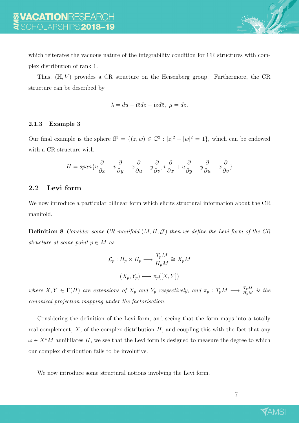which reiterates the vacuous nature of the integrability condition for CR structures with complex distribution of rank 1.

Thus,  $(\mathbb{H}, V)$  provides a CR structure on the Heisenberg group. Furthermore, the CR structure can be described by

$$
\lambda = du - i\overline{z}dz + izd\overline{z}, \ \mu = dz.
$$

#### 2.1.3 Example 3

Our final example is the sphere  $\mathbb{S}^3 = \{(z,w) \in \mathbb{C}^2 : |z|^2 + |w|^2 = 1\}$ , which can be endowed with a CR structure with

$$
H=span\{u\frac{\partial}{\partial x}-v\frac{\partial}{\partial y}-x\frac{\partial}{\partial u}-y\frac{\partial}{\partial v},v\frac{\partial}{\partial x}+u\frac{\partial}{\partial y}-y\frac{\partial}{\partial u}-x\frac{\partial}{\partial v}\}\
$$

#### 2.2 Levi form

We now introduce a particular bilinear form which elicits structural information about the CR manifold.

**Definition 8** Consider some CR manifold  $(M, H, \mathcal{J})$  then we define the Levi form of the CR structure at some point  $p \in M$  as

$$
\mathcal{L}_p: H_p \times H_p \longrightarrow \frac{T_p M}{H_p M} \cong X_p M
$$

$$
(X_p, Y_p) \longmapsto \pi_p([X, Y])
$$

where  $X, Y \in \Gamma(H)$  are extensions of  $X_p$  and  $Y_p$  respectively, and  $\pi_p : T_pM \longrightarrow \frac{T_pM}{H_pM}$  is the canonical projection mapping under the factorisation.

Considering the definition of the Levi form, and seeing that the form maps into a totally real complement,  $X$ , of the complex distribution  $H$ , and coupling this with the fact that any  $\omega \in X^*M$  annihilates H, we see that the Levi form is designed to measure the degree to which our complex distribution fails to be involutive.

We now introduce some structural notions involving the Levi form.

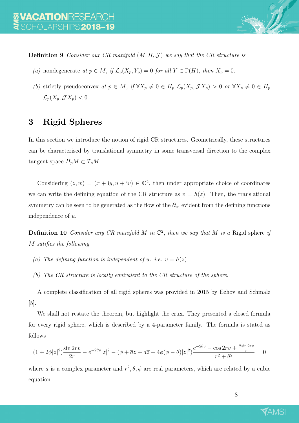

**Definition 9** Consider our CR manifold  $(M, H, \mathcal{J})$  we say that the CR structure is

- (a) nondegenerate at  $p \in M$ , if  $\mathcal{L}_p(X_p, Y_p) = 0$  for all  $Y \in \Gamma(H)$ , then  $X_p = 0$ .
- (b) strictly pseudoconvex at  $p \in M$ , if  $\forall X_p \neq 0 \in H_p$   $\mathcal{L}_p(X_p, \mathcal{J}X_p) > 0$  or  $\forall X_p \neq 0 \in H_p$  $\mathcal{L}_p(X_p, \mathcal{J} X_p) < 0.$

### 3 Rigid Spheres

In this section we introduce the notion of rigid CR structures. Geometrically, these structures can be characterised by translational symmetry in some transversal direction to the complex tangent space  $H_pM \subset T_pM$ .

Considering  $(z, w) = (x + iy, u + iv) \in \mathbb{C}^2$ , then under appropriate choice of coordinates we can write the defining equation of the CR structure as  $v = h(z)$ . Then, the translational symmetry can be seen to be generated as the flow of the  $\partial_u$ , evident from the defining functions independence of u.

**Definition 10** Consider any CR manifold M in  $\mathbb{C}^2$ , then we say that M is a Rigid sphere if M satifies the following

- (a) The defining function is independent of u. i.e.  $v = h(z)$
- (b) The CR structure is locally equivalent to the CR structure of the sphere.

A complete classification of all rigid spheres was provided in 2015 by Ezhov and Schmalz [5].

We shall not restate the theorem, but highlight the crux. They presented a closed formula for every rigid sphere, which is described by a 4-parameter family. The formula is stated as follows

$$
(1+2\phi|z|^2)\frac{\sin 2rv}{2r} - e^{-2\theta v}|z|^2 - (\phi + \overline{a}z + a\overline{z} + 4\phi(\phi - \theta)|z|^2)\frac{e^{-2\theta v} - \cos 2rv + \frac{\theta \sin 2rv}{r}}{r^2 + \theta^2} = 0
$$

where a is a complex parameter and  $r^2$ ,  $\theta$ ,  $\phi$  are real parameters, which are related by a cubic equation.

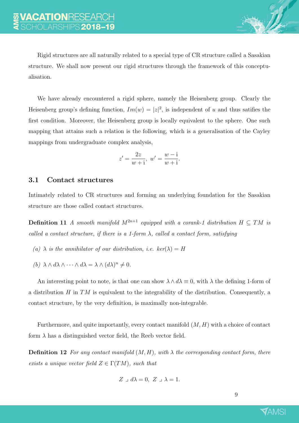Rigid structures are all naturally related to a special type of CR structure called a Sasakian structure. We shall now present our rigid structures through the framework of this conceptualisation.

We have already encountered a rigid sphere, namely the Heisenberg group. Clearly the Heisenberg group's defining function,  $Im(w) = |z|^2$ , is independent of u and thus satifies the first condition. Moreover, the Heisenberg group is locally equivalent to the sphere. One such mapping that attains such a relation is the following, which is a generalisation of the Cayley mappings from undergraduate complex analysis,

$$
z' = \frac{2z}{w+i}, \ w' = \frac{w-i}{w+i}.
$$

#### 3.1 Contact structures

Intimately related to CR structures and forming an underlying foundation for the Sasakian structure are those called contact structures.

**Definition 11** A smooth manifold  $M^{2n+1}$  equipped with a corank-1 distribution  $H \subseteq TM$  is called a contact structure, if there is a 1-form  $\lambda$ , called a contact form, satisfying

- (a)  $\lambda$  is the annihilator of our distribution, i.e. ker( $\lambda$ ) = H
- (b)  $\lambda \wedge d\lambda \wedge \cdots \wedge d\lambda = \lambda \wedge (d\lambda)^n \neq 0.$

An interesting point to note, is that one can show  $\lambda \wedge d\lambda \equiv 0$ , with  $\lambda$  the defining 1-form of a distribution  $H$  in  $TM$  is equivalent to the integrability of the distribution. Consequently, a contact structure, by the very definition, is maximally non-integrable.

Furthermore, and quite importantly, every contact manifold  $(M, H)$  with a choice of contact form  $\lambda$  has a distinguished vector field, the Reeb vector field.

**Definition 12** For any contact manifold  $(M, H)$ , with  $\lambda$  the corresponding contact form, there exists a unique vector field  $Z \in \Gamma(TM)$ , such that

$$
Z \supset d\lambda = 0, \ Z \supset \lambda = 1.
$$

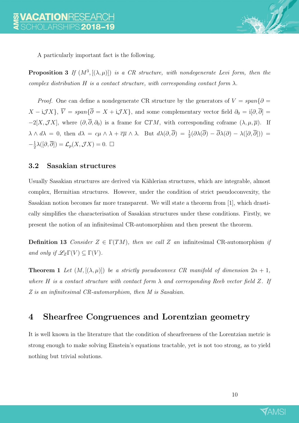

A particularly important fact is the following.

**Proposition 3** If  $(M^3, [(\lambda, \mu)])$  is a CR structure, with nondegenerate Levi form, then the complex distribution H is a contact structure, with corresponding contact form  $\lambda$ .

*Proof.* One can define a nondegenerate CR structure by the generators of  $V = span\{\partial =$  $X - i\mathcal{J}X$ ,  $\overline{V} = span\{\overline{\partial} = X + i\mathcal{J}X\}$ , and some complementary vector field  $\partial_0 = i[\partial,\overline{\partial}] =$  $-2[X,\mathcal{J}X],$  where  $(\partial,\overline{\partial},\partial_0)$  is a frame for  $\mathbb{C}TM$ , with corresponding coframe  $(\lambda,\mu,\overline{\mu})$ . If  $\lambda \wedge d\lambda = 0$ , then  $d\lambda = c\mu \wedge \lambda + c\overline{\mu} \wedge \lambda$ . But  $d\lambda(\partial, \overline{\partial}) = \frac{1}{2}(\partial \lambda(\overline{\partial}) - \overline{\partial} \lambda(\partial) - \lambda([\partial, \overline{\partial}])) =$  $-\frac{1}{2}$  $\frac{1}{2}\lambda([\partial,\overline{\partial}]) = \mathcal{L}_p(X,\mathcal{J}X) = 0.$ 

#### 3.2 Sasakian structures

Usually Sasakian structures are derived via Kählerian structures, which are integrable, almost complex, Hermitian structures. However, under the condition of strict pseudoconvexity, the Sasakian notion becomes far more transparent. We will state a theorem from [1], which drastically simplifies the characterisation of Sasakian structures under these conditions. Firstly, we present the notion of an infinitesimal CR-automorphism and then present the theorem.

**Definition 13** Consider  $Z \in \Gamma(TM)$ , then we call Z an infinitesimal CR-automorphism if and only if  $\mathscr{L}_Z\Gamma(V) \subseteq \Gamma(V)$ .

**Theorem 1** Let  $(M, [(\lambda, \mu)])$  be a strictly pseudoconvex CR manifold of dimension  $2n + 1$ , where H is a contact structure with contact form  $\lambda$  and corresponding Reeb vector field Z. If Z is an infinitesimal CR-automorphism, then M is Sasakian.

### 4 Shearfree Congruences and Lorentzian geometry

It is well known in the literature that the condition of shearfreeness of the Lorentzian metric is strong enough to make solving Einstein's equations tractable, yet is not too strong, as to yield nothing but trivial solutions.

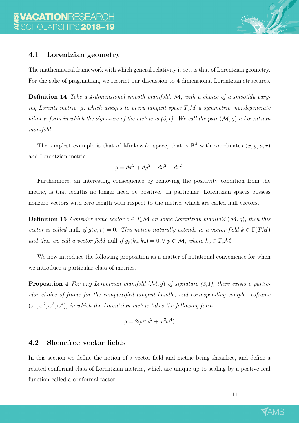

#### 4.1 Lorentzian geometry

The mathematical framework with which general relativity is set, is that of Lorentzian geometry. For the sake of pragmatism, we restrict our discussion to 4-dimensional Lorentzian structures.

Definition 14 Take a 4-dimensional smooth manifold, M, with a choice of a smoothly varying Lorentz metric, g, which assigns to every tangent space  $T_pM$  a symmetric, nondegenerate bilinear form in which the signature of the metric is  $(3,1)$ . We call the pair  $(\mathcal{M}, g)$  a Lorentzian manifold.

The simplest example is that of Minkowski space, that is  $\mathbb{R}^4$  with coordinates  $(x, y, u, r)$ and Lorentzian metric

$$
g = dx^2 + dy^2 + du^2 - dr^2.
$$

Furthermore, an interesting consequence by removing the positivity condition from the metric, is that lengths no longer need be positive. In particular, Lorentzian spaces possess nonzero vectors with zero length with respect to the metric, which are called null vectors.

**Definition 15** Consider some vector  $v \in T_p\mathcal{M}$  on some Lorentzian manifold  $(\mathcal{M}, g)$ , then this vector is called null, if  $g(v, v) = 0$ . This notion naturally extends to a vector field  $k \in \Gamma(TM)$ and thus we call a vector field null if  $g_p(k_p, k_p) = 0, \forall p \in \mathcal{M}$ , where  $k_p \in T_p\mathcal{M}$ 

We now introduce the following proposition as a matter of notational convenience for when we introduce a particular class of metrics.

**Proposition 4** For any Lorentzian manifold  $(M, g)$  of signature  $(3,1)$ , there exists a particular choice of frame for the complexified tangent bundle, and corresponding complex coframe  $(\omega^1, \omega^2, \omega^3, \omega^4)$ , in which the Lorentzian metric takes the following form

$$
g = 2(\omega^1 \omega^2 + \omega^3 \omega^4)
$$

#### 4.2 Shearfree vector fields

In this section we define the notion of a vector field and metric being shearfree, and define a related conformal class of Lorentzian metrics, which are unique up to scaling by a postive real function called a conformal factor.

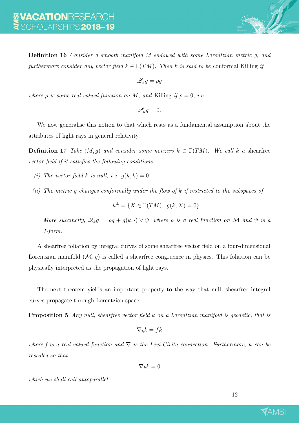Definition 16 Consider a smooth manifold M endowed with some Lorentzian metric g, and furthermore consider any vector field  $k \in \Gamma(TM)$ . Then k is said to be conformal Killing if

 $\mathscr{L}_k q = \rho q$ 

where  $\rho$  is some real valued function on M, and Killing if  $\rho = 0$ , i.e.

 $\mathscr{L}_k q = 0.$ 

We now generalise this notion to that which rests as a fundamental assumption about the attributes of light rays in general relativity.

**Definition 17** Take  $(M, g)$  and consider some nonzero  $k \in \Gamma(TM)$ . We call k a shearfree vector field if it satisfies the following conditions.

- (i) The vector field k is null, i.e.  $q(k, k) = 0$ .
- (ii) The metric g changes conformally under the flow of k if restricted to the subspaces of

$$
k^{\perp} = \{ X \in \Gamma(TM) : g(k, X) = 0 \}.
$$

More succinctly,  $\mathscr{L}_k g = \rho g + g(k, \cdot) \vee \psi$ , where  $\rho$  is a real function on M and  $\psi$  is a 1-form.

A shearfree foliation by integral curves of some shearfree vector field on a four-dimensional Lorentzian manifold  $(M, g)$  is called a shearfree congruence in physics. This foliation can be physically interpreted as the propagation of light rays.

The next theorem yields an important property to the way that null, shearfree integral curves propagate through Lorentzian space.

Proposition 5 Any null, shearfree vector field k on a Lorentzian manifold is geodetic, that is

$$
\nabla_k k = f k
$$

where f is a real valued function and  $\nabla$  is the Levi-Civita connection. Furthermore, k can be rescaled so that

$$
\nabla_k k = 0
$$

which we shall call autoparallel.

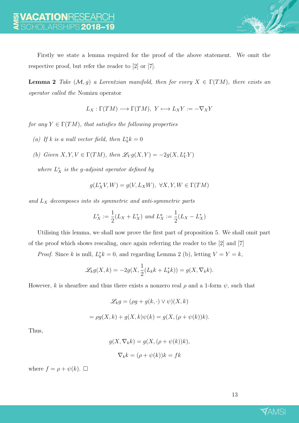Firstly we state a lemma required for the proof of the above statement. We omit the respective proof, but refer the reader to [2] or [7].

**Lemma 2** Take  $(M, g)$  a Lorentzian manifold, then for every  $X \in \Gamma(TM)$ , there exists an operator called the Nomizu operator

 $L_X : \Gamma(TM) \longrightarrow \Gamma(TM), Y \longmapsto L_X Y := -\nabla_X Y$ 

for any  $Y \in \Gamma(TM)$ , that satisfies the following properties

(a) If k is a null vector field, then  $L_k^*k = 0$ 

(b) Given 
$$
X, Y, V \in \Gamma(TM)
$$
, then  $\mathcal{L}_V g(X, Y) = -2g(X, L_V^s Y)$ 

where  $L_X^*$  is the g-adjoint operator defined by

 $g(L_X^*V, W) = g(V, L_XW), \ \forall X, Y, W \in \Gamma(TM)$ 

and  $L_X$  decomposes into its symmetric and anti-symmetric parts

$$
L_X^s := \frac{1}{2}(L_X + L_X^*) \text{ and } L_X^a := \frac{1}{2}(L_X - L_X^*)
$$

Utilising this lemma, we shall now prove the first part of proposition 5. We shall omit part of the proof which shows rescaling, once again referring the reader to the [2] and [7]

*Proof.* Since k is null,  $L_k^* k = 0$ , and regarding Lemma 2 (b), letting  $V = Y = k$ ,

$$
\mathscr{L}_k g(X,k) = -2g(X, \frac{1}{2}(L_k k + L_k^* k)) = g(X, \nabla_k k).
$$

However, k is shearfree and thus there exists a nonzero real  $\rho$  and a 1-form  $\psi$ , such that

$$
\mathscr{L}_k g = (\rho g + g(k, \cdot) \vee \psi)(X, k)
$$

$$
= \rho g(X, k) + g(X, k)\psi(k) = g(X, (\rho + \psi(k))k).
$$

Thus,

$$
g(X, \nabla_k k) = g(X, (\rho + \psi(k))k),
$$
  

$$
\nabla_k k = (\rho + \psi(k))k = fk
$$

where  $f = \rho + \psi(k)$ .  $\Box$ 

13

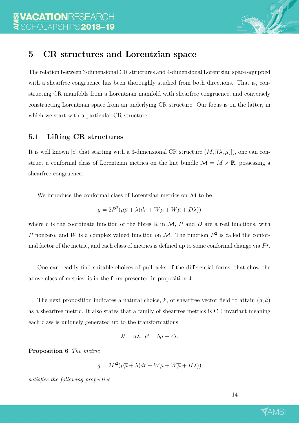

### 5 CR structures and Lorentzian space

The relation between 3-dimensional CR structures and 4-dimensional Lorentzian space equipped with a shearfree congruence has been thoroughly studied from both directions. That is, constructing CR manifolds from a Lorentzian manifold with shearfree congruence, and conversely constructing Lorentzian space from an underlying CR structure. Our focus is on the latter, in which we start with a particular CR structure.

### 5.1 Lifting CR structures

It is well known [8] that starting with a 3-dimensional CR structure  $(M, [(\lambda, \mu)])$ , one can construct a conformal class of Lorentzian metrics on the line bundle  $\mathcal{M} = M \times \mathbb{R}$ , possessing a shearfree congruence.

We introduce the conformal class of Lorentzian metrics on M to be

$$
g = 2P^2(\mu \overline{\mu} + \lambda(dr + W\mu + \overline{W}\overline{\mu} + D\lambda))
$$

where r is the coordinate function of the fibres  $\mathbb R$  in  $\mathcal M$ , P and D are a real functions, with P nonzero, and W is a complex valued function on M. The function  $P^2$  is called the conformal factor of the metric, and each class of metrics is defined up to some conformal change via  $P^2$ .

One can readily find suitable choices of pullbacks of the differential forms, that show the above class of metrics, is in the form presented in proposition 4.

The next proposition indicates a natural choice, k, of shearfree vector field to attain  $(q, k)$ as a shearfree metric. It also states that a family of shearfree metrics is CR invariant meaning each class is uniquely generated up to the transformations

$$
\lambda' = a\lambda, \ \mu' = b\mu + c\lambda.
$$

Proposition 6 The metric

$$
g = 2P^2(\mu\overline{\mu} + \lambda(dr + W\mu + \overline{W}\overline{\mu} + H\lambda))
$$

satisfies the following properties

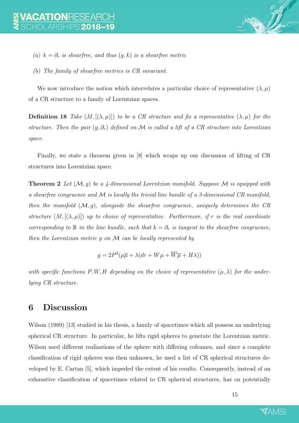- (a)  $k = \partial_r$  is shearfree, and thus  $(g, k)$  is a shearfree metric
- (b) The family of shearfree metrics is CR invariant.

We now introduce the notion which interrelates a particular choice of representative  $(\lambda, \mu)$ of a CR structure to a family of Lorentzian spaces.

**Definition 18** Take  $(M, [(\lambda, \mu)])$  to be a CR structure and fix a representative  $(\lambda, \mu)$  for the structure. Then the pair  $(g, \partial_r)$  defined on M is called a lift of a CR structure into Lorentzian space.

Finally, we state a theorem given in [8] which wraps up our discussion of lifting of CR structures into Lorentzian space.

**Theorem 2** Let  $(M, q)$  be a 4-dimensional Lorentzian manifold. Suppose M is equipped with a shearfree congruence and  $\mathcal M$  is locally the trivial line bundle of a 3-dimensional CR manifold, then the manifold  $(M, g)$ , alongside the shearfree congruence, uniquely determines the CR structure  $(M, [(\lambda, \mu)])$  up to choice of representative. Furthermore, if r is the real coordinate corresponding to R in the line bundle, such that  $k = \partial_r$  is tangent to the shearfree congruence, then the Lorentzian metric g on M can be locally represented by

$$
g = 2P^2(\mu\overline{\mu} + \lambda(dr + W\mu + \overline{W}\overline{\mu} + H\lambda))
$$

with specific functions P, W, H depending on the choice of representative  $(\mu, \lambda)$  for the underlying CR structure.

### 6 Discussion

Wilson (1989) [13] studied in his thesis, a family of spacetimes which all possess an underlying spherical CR structure. In particular, he lifts rigid spheres to generate the Lorentzian metric. Wilson used different realisations of the sphere with differing coframes, and since a complete classification of rigid spheres was then unknown, he used a list of CR spherical structures developed by E. Cartan [5], which impeded the extent of his results. Consequently, instead of an exhaustive classification of spacetimes related to CR spherical structures, has on potentially

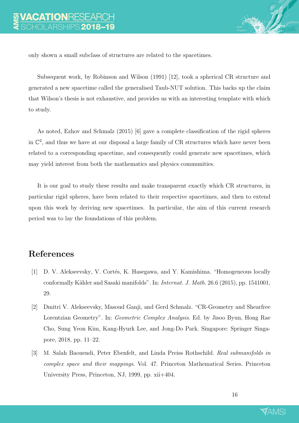

only shown a small subclass of structures are related to the spacetimes.

Subsequent work, by Robinson and Wilson (1991) [12], took a spherical CR structure and generated a new spacetime called the generalised Taub-NUT solution. This backs up the claim that Wilson's thesis is not exhaustive, and provides us with an interesting template with which to study.

As noted, Ezhov and Schmalz (2015) [6] gave a complete classification of the rigid spheres in  $\mathbb{C}^2$ , and thus we have at our disposal a large family of CR structures which have never been related to a corresponding spacetime, and consequently could generate new spacetimes, which may yield interest from both the mathematics and physics communities.

It is our goal to study these results and make transparent exactly which CR structures, in particular rigid spheres, have been related to their respective spacetimes, and then to extend upon this work by deriving new spacetimes. In particular, the aim of this current research period was to lay the foundations of this problem.

### References

- [1] D. V. Alekseevsky, V. Cortés, K. Hasegawa, and Y. Kamishima. "Homogeneous locally conformally Kähler and Sasaki manifolds". In: *Internat. J. Math.* 26.6 (2015), pp. 1541001, 29.
- [2] Dmitri V. Alekseevsky, Masoud Ganji, and Gerd Schmalz. "CR-Geometry and Shearfree Lorentzian Geometry". In: Geometric Complex Analysis. Ed. by Jisoo Byun, Hong Rae Cho, Sung Yeon Kim, Kang-Hyurk Lee, and Jong-Do Park. Singapore: Springer Singapore, 2018, pp. 11–22.
- [3] M. Salah Baouendi, Peter Ebenfelt, and Linda Preiss Rothschild. Real submanifolds in complex space and their mappings. Vol. 47. Princeton Mathematical Series. Princeton University Press, Princeton, NJ, 1999, pp. xii+404.